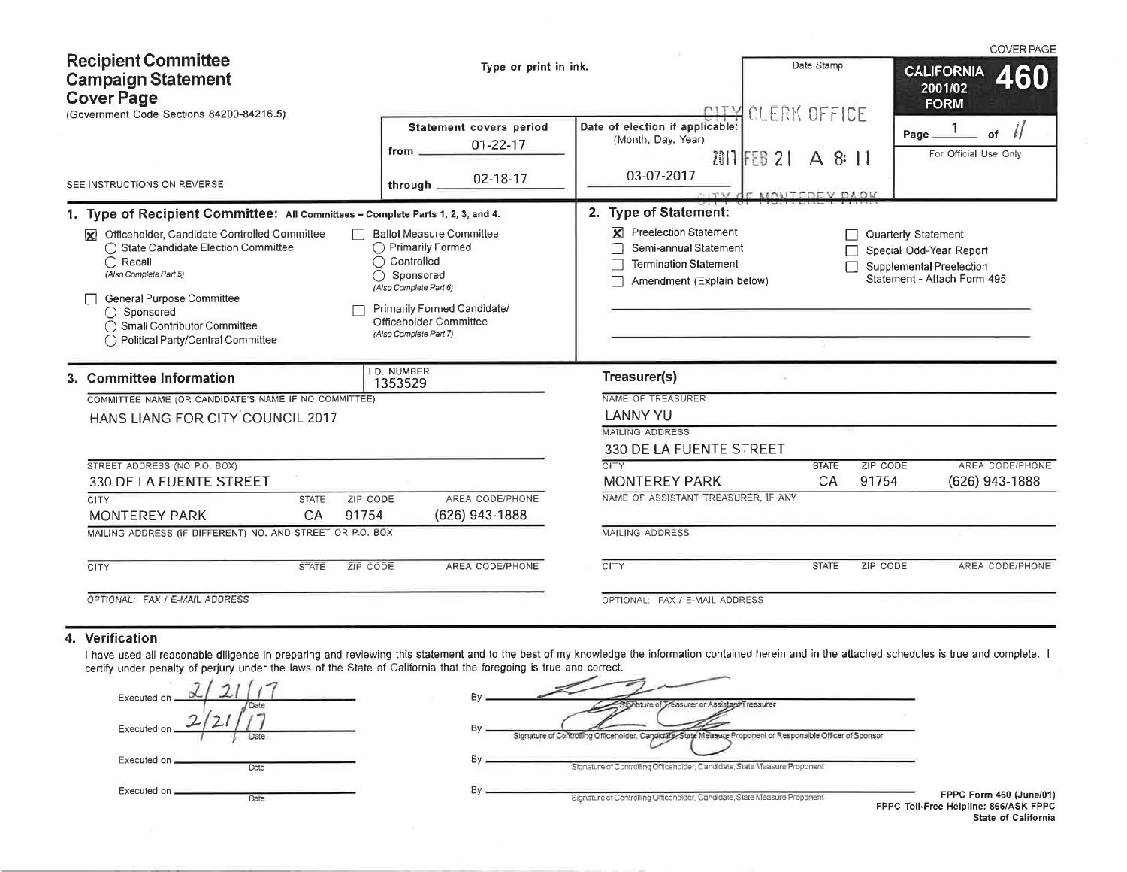|                                                                                                                                                                                                                                                        |                                                                                                                                                                                                           |                                                                                                                         |                                                                                          | <b>COVER PAGE</b>                                                                                         |  |  |  |  |  |
|--------------------------------------------------------------------------------------------------------------------------------------------------------------------------------------------------------------------------------------------------------|-----------------------------------------------------------------------------------------------------------------------------------------------------------------------------------------------------------|-------------------------------------------------------------------------------------------------------------------------|------------------------------------------------------------------------------------------|-----------------------------------------------------------------------------------------------------------|--|--|--|--|--|
| <b>Recipient Committee</b><br><b>Campaign Statement</b><br><b>Cover Page</b><br>(Government Code Sections 84200-84216.5)                                                                                                                               | Type or print in ink.                                                                                                                                                                                     |                                                                                                                         | Date Stamp<br><b>CALIFORNIA</b><br>2001/02<br><b>FORM</b><br><b>CLERK OFFICE</b><br>CITY |                                                                                                           |  |  |  |  |  |
| SEE INSTRUCTIONS ON REVERSE                                                                                                                                                                                                                            | Statement covers period<br>$01 - 22 - 17$<br>from $-$<br>02-18-17<br>through $-$                                                                                                                          | Date of election if applicable:<br>(Month, Day, Year)<br>03-07-2017                                                     | $2011$ FEB 21 A 8:11<br>CITY OF MONTFOEV DAOK                                            | Page_<br>nf<br>For Official Use Only                                                                      |  |  |  |  |  |
| 1. Type of Recipient Committee: All Committees - Complete Parts 1, 2, 3, and 4.                                                                                                                                                                        |                                                                                                                                                                                                           | 2. Type of Statement:                                                                                                   |                                                                                          |                                                                                                           |  |  |  |  |  |
| Officeholder, Candidate Controlled Committee<br>◯ State Candidate Election Committee<br>$\bigcap$ Recall<br>(Also Complete Part 5)<br>General Purpose Committee<br>◯ Sponsored<br>◯ Small Contributor Committee<br>◯ Political Party/Central Committee | <b>Ballot Measure Committee</b><br>◯ Primarily Formed<br>$\bigcap$ Controlled<br>◯ Sponsored<br>(Also Complete Part 6)<br>Primarily Formed Candidate/<br>Officeholder Committee<br>(Also Complete Part 7) | <b>Preelection Statement</b><br>×<br>Semi-annual Statement<br><b>Termination Statement</b><br>Amendment (Explain below) |                                                                                          | Quarterly Statement<br>Special Odd-Year Report<br>Supplemental Preelection<br>Statement - Attach Form 495 |  |  |  |  |  |
| 3. Committee Information                                                                                                                                                                                                                               | I.D. NUMBER<br>1353529                                                                                                                                                                                    | Treasurer(s)                                                                                                            |                                                                                          |                                                                                                           |  |  |  |  |  |
| COMMITTEE NAME (OR CANDIDATE'S NAME IF NO COMMITTEE)                                                                                                                                                                                                   |                                                                                                                                                                                                           | NAME OF TREASURER                                                                                                       |                                                                                          |                                                                                                           |  |  |  |  |  |
| HANS LIANG FOR CITY COUNCIL 2017                                                                                                                                                                                                                       |                                                                                                                                                                                                           | <b>LANNY YU</b>                                                                                                         |                                                                                          |                                                                                                           |  |  |  |  |  |
|                                                                                                                                                                                                                                                        |                                                                                                                                                                                                           | <b>MAILING ADDRESS</b><br>330 DE LA FUENTE STREET                                                                       |                                                                                          |                                                                                                           |  |  |  |  |  |
| STREET ADDRESS (NO P.O. BOX)                                                                                                                                                                                                                           |                                                                                                                                                                                                           | <b>CITY</b>                                                                                                             | <b>STATE</b>                                                                             | <b>ZIP CODE</b><br>AREA CODE/PHONE                                                                        |  |  |  |  |  |
| 330 DE LA FUENTE STREET                                                                                                                                                                                                                                |                                                                                                                                                                                                           | <b>MONTEREY PARK</b>                                                                                                    | CA                                                                                       | 91754<br>(626) 943-1888                                                                                   |  |  |  |  |  |
| CITY<br>ZIP CODE<br><b>STATE</b><br>91754<br><b>MONTEREY PARK</b><br><b>CA</b>                                                                                                                                                                         | AREA CODE/PHONE<br>(626) 943-1888                                                                                                                                                                         | NAME OF ASSISTANT TREASURER. IF ANY                                                                                     |                                                                                          |                                                                                                           |  |  |  |  |  |
| MAILING ADDRESS (IF DIFFERENT) NO. AND STREET OR P.O. BOX                                                                                                                                                                                              |                                                                                                                                                                                                           | <b>MAILING ADDRESS</b>                                                                                                  |                                                                                          |                                                                                                           |  |  |  |  |  |
| <b>CITY</b><br><b>STATE</b><br>ZIP CODE                                                                                                                                                                                                                | AREA CODE/PHONE                                                                                                                                                                                           | <b>CITY</b>                                                                                                             | <b>STATE</b>                                                                             | AREA CODE/PHONE<br>ZIP CODE                                                                               |  |  |  |  |  |
| OPTIONAL: FAX / E-MAIL ADDRESS                                                                                                                                                                                                                         |                                                                                                                                                                                                           | OPTIONAL: FAX / E-MAIL ADDRESS                                                                                          |                                                                                          |                                                                                                           |  |  |  |  |  |

## 4. Verification

I have used all reasonable diligence in preparing and reviewing this statement and to the best of my knowledge the information contained herein and in the attached schedules is true and complete. I<br>certify under penalty of

| Executed on              | В٧<br>Thature of Treasurer or Assistant Treasurer                                                                         |
|--------------------------|---------------------------------------------------------------------------------------------------------------------------|
| ∽<br>Executed on<br>Date | By<br>Signature of Controlling Officeholder, Cangidate, State Measure Proponent or Responsible Officer of Sponsor         |
| Executed on _<br>Date    | Bv<br>Signature of Controlling Officeholder, Candidate, State Measure Proponent                                           |
| Executed on<br>Date      | By<br><b>FPPC F</b><br>Signature of Controlling Officeholder, Candidate, State Measure Proponent<br>FPPC Toll-Free Helpli |

Form 460 (June/01)<br>line: 866/ASK-FPPC State of California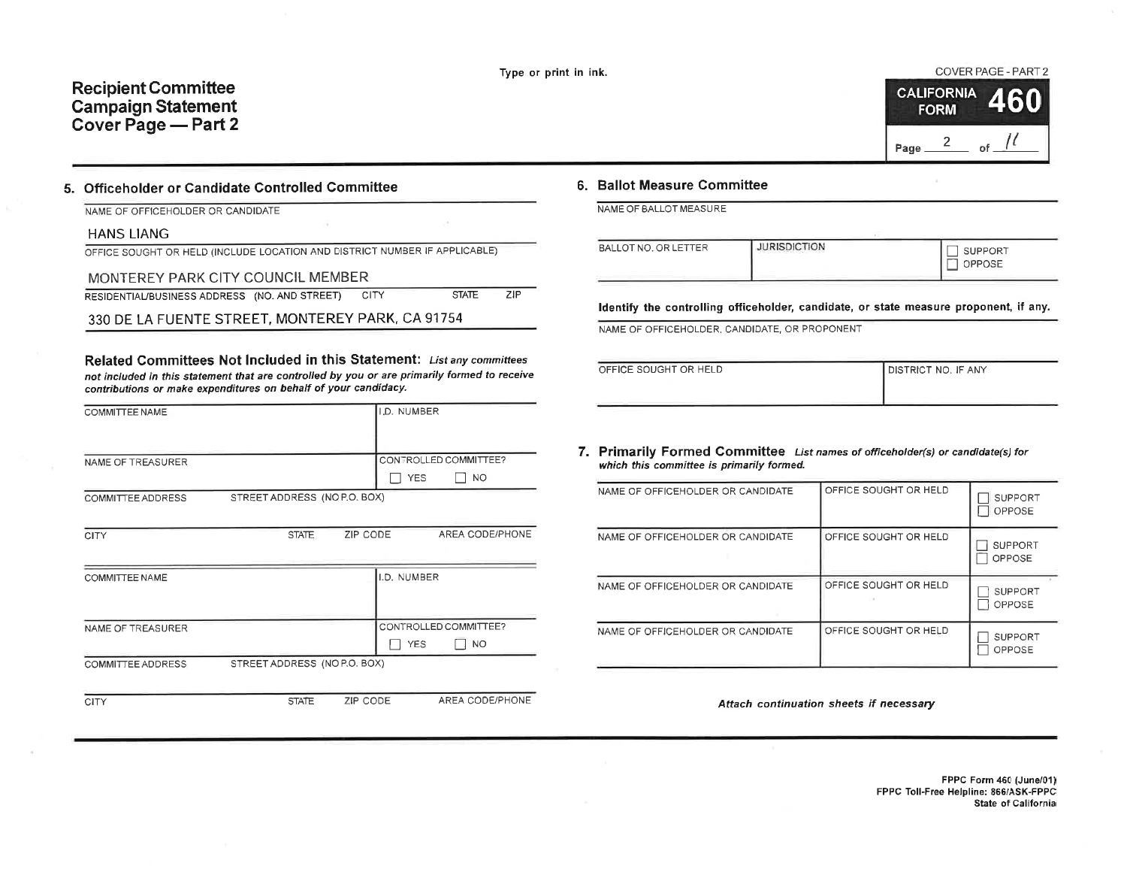AREA CODE/PHONE

# **Recipient Committee Campaign Statement** Cover Page - Part 2

COVER PAGE - PART 2

|      | <b>CALIFORNIA</b><br><b>FORM</b> | ālaņ |
|------|----------------------------------|------|
| Page | 2                                | nf   |

### 5. Officeholder or Candidate Controlled Committee

NAME OF OFFICEHOLDER OR CANDIDATE

#### **HANS LIANG**

CITY

OFFICE SOUGHT OR HELD (INCLUDE LOCATION AND DISTRICT NUMBER IF APPLICABLE)

## MONTEREY PARK CITY COUNCIL MEMBER

| RESIDENTIAL/BUSINESS ADDRESS (NO. AND STREET) |  | <b>CITY</b> | <b>STATE</b> | ZIP - |
|-----------------------------------------------|--|-------------|--------------|-------|
|-----------------------------------------------|--|-------------|--------------|-------|

330 DE LA FUENTE STREET, MONTEREY PARK, CA 91754

Related Committees Not Included in this Statement: List any committees not included in this statement that are controlled by you or are primarily formed to receive contributions or make expenditures on behalf of your candidacy.

| COMMITTEE NAME    |                              |          | I.D. NUMBER |                       |
|-------------------|------------------------------|----------|-------------|-----------------------|
|                   |                              |          |             |                       |
| NAME OF TREASURER |                              |          |             | CONTROLLED COMMITTEE? |
|                   |                              |          | <b>YES</b>  | <b>NO</b>             |
| COMMITTEE ADDRESS | STREET ADDRESS (NO P.O. BOX) |          |             |                       |
|                   |                              |          |             |                       |
| CITY              | <b>STATE</b>                 | ZIP CODE |             | AREA CODE/PHONE       |
|                   |                              |          |             |                       |
| COMMITTEE NAME    |                              |          | I.D. NUMBER |                       |
|                   |                              |          |             |                       |
| NAME OF TREASURER |                              |          |             | CONTROLLED COMMITTEE? |
|                   |                              |          | <b>YES</b>  | NO.                   |
| COMMITTEE ADDRESS | STREET ADDRESS (NO P.O. BOX) |          |             |                       |
|                   |                              |          |             |                       |

**STATE** 

ZIP CODE

## 6. Ballot Measure Committee

NAME OF BALLOT MEASURE

| BALLOT NO. OR LETTER | <b>JURISDICTION</b> | <b>SUPPORT</b><br>OPPOSE |
|----------------------|---------------------|--------------------------|
|                      |                     |                          |

Identify the controlling officeholder, candidate, or state measure proponent, if any.

NAME OF OFFICEHOLDER, CANDIDATE, OR PROPONENT

| OFFICE SOUGHT OR HELD | I DISTRICT NO. IF ANY |
|-----------------------|-----------------------|
|                       |                       |

#### 7. Primarily Formed Committee List names of officeholder(s) or candidate(s) for which this committee is primarily formed.

| NAME OF OFFICEHOLDER OR CANDIDATE | OFFICE SOUGHT OR HELD | <b>SUPPORT</b><br><b>OPPOSE</b> |
|-----------------------------------|-----------------------|---------------------------------|
| NAME OF OFFICEHOLDER OR CANDIDATE | OFFICE SOUGHT OR HELD | <b>SUPPORT</b><br><b>OPPOSE</b> |
| NAME OF OFFICEHOLDER OR CANDIDATE | OFFICE SOUGHT OR HELD | <b>SUPPORT</b><br>OPPOSE        |
| NAME OF OFFICEHOLDER OR CANDIDATE | OFFICE SOUGHT OR HELD | SUPPORT<br>OPPOSE               |

Attach continuation sheets if necessary

FPPC Form 460 (June/01) FPPC Toll-Free Helpline: 866/ASK-FPPC State of California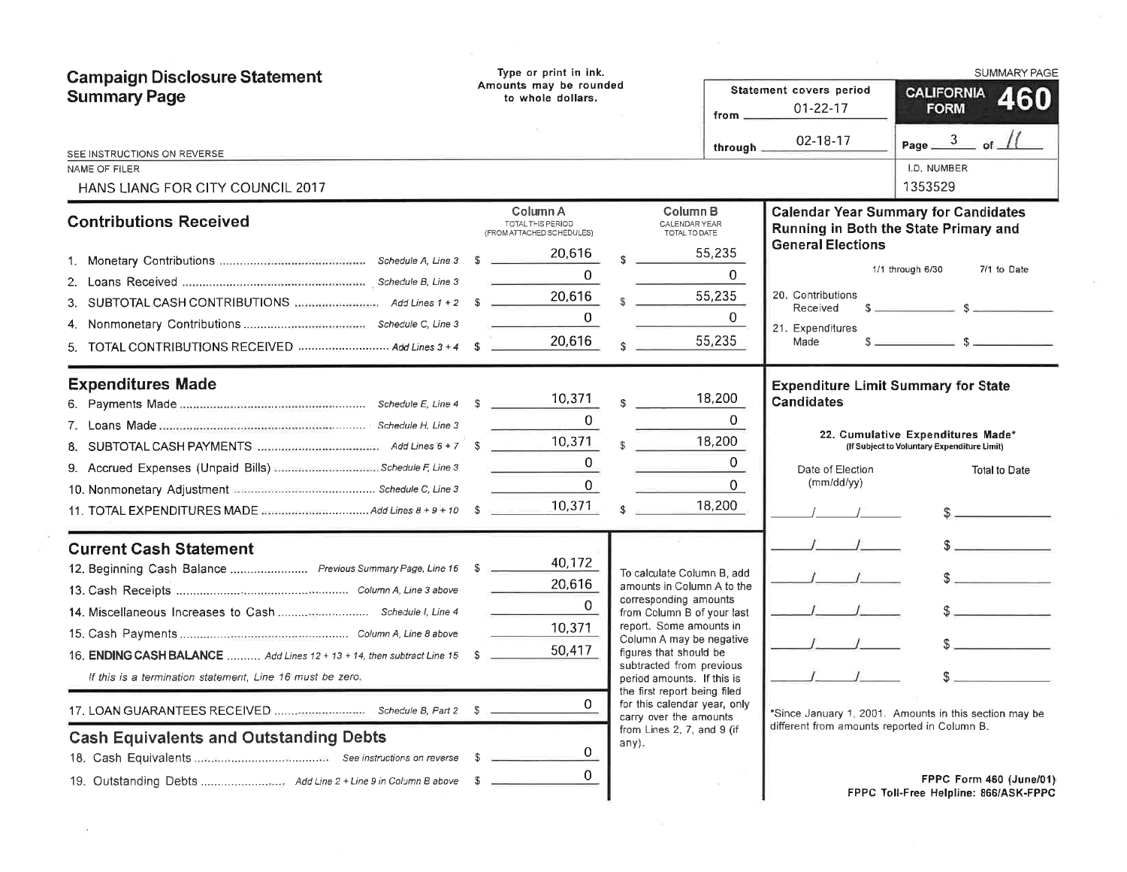| <b>Campaign Disclosure Statement</b><br><b>Summary Page</b>                                                                                                        |      | Type or print in ink.<br>Amounts may be rounded<br>to whole dollars.<br>from _ |       |                                                                                                                                              |                                 | Statement covers period<br>$01 - 22 - 17$<br>02-18-17                                             | <b>SUMMARY PAGE</b><br><b>CALIFORNIA</b><br><b>160</b><br><b>FORM</b><br>Page $\frac{3}{2}$ of           |
|--------------------------------------------------------------------------------------------------------------------------------------------------------------------|------|--------------------------------------------------------------------------------|-------|----------------------------------------------------------------------------------------------------------------------------------------------|---------------------------------|---------------------------------------------------------------------------------------------------|----------------------------------------------------------------------------------------------------------|
| SEE INSTRUCTIONS ON REVERSE.<br>NAME OF FILER                                                                                                                      |      |                                                                                |       |                                                                                                                                              | through _                       |                                                                                                   | I.D. NUMBER                                                                                              |
| HANS LIANG FOR CITY COUNCIL 2017                                                                                                                                   |      |                                                                                |       |                                                                                                                                              |                                 |                                                                                                   | 1353529                                                                                                  |
| <b>Contributions Received</b>                                                                                                                                      |      | Column A<br>TOTAL THIS PERIOD<br>(FROM ATTACHED SCHEDULES)                     |       | Column <sub>B</sub><br><b>CALENDAR YEAR</b><br>TOTAL TO DATE                                                                                 |                                 |                                                                                                   | <b>Calendar Year Summary for Candidates</b><br>Running in Both the State Primary and                     |
|                                                                                                                                                                    |      | 20,616                                                                         |       |                                                                                                                                              | 55,235                          | <b>General Elections</b>                                                                          |                                                                                                          |
|                                                                                                                                                                    |      | $\Omega$                                                                       |       |                                                                                                                                              | $\Omega$                        |                                                                                                   | 1/1 through 6/30<br>7/1 to Date                                                                          |
|                                                                                                                                                                    |      | 20,616<br>$\overline{0}$                                                       |       |                                                                                                                                              | 55,235<br>$\mathbf{0}$          | 20. Contributions<br>Received<br>21. Expenditures                                                 |                                                                                                          |
| 5. TOTAL CONTRIBUTIONS RECEIVED  Add Lines 3 + 4 \$                                                                                                                |      | 20,616                                                                         |       |                                                                                                                                              | 55,235                          | Made                                                                                              | $s \sim$ $s \sim$                                                                                        |
| <b>Expenditures Made</b><br>9. Accrued Expenses (Unpaid Bills) Schedule F, Line 3<br>10. Nonmonetary Adjustment <b>Manual Commonwealtherine</b> Schedule C, Line 3 |      | 10,371<br>$\Omega$<br>10,371<br>$\Omega$<br>0                                  |       |                                                                                                                                              | 18,200<br>0<br>18,200<br>0<br>0 | <b>Expenditure Limit Summary for State</b><br><b>Candidates</b><br>Date of Election<br>(mm/dd/yy) | 22. Cumulative Expenditures Made*<br>(If Subject to Voluntary Expenditure Limit)<br><b>Total to Date</b> |
|                                                                                                                                                                    |      | 10,371                                                                         |       |                                                                                                                                              | 18,200                          |                                                                                                   | $\frac{1}{2}$                                                                                            |
| <b>Current Cash Statement</b><br>12. Beginning Cash Balance  Previous Summary Page, Line 16 \$                                                                     |      | 40,172<br>20,616<br>$\Omega$<br>10,371                                         |       | To calculate Column B, add<br>amounts in Column A to the<br>corresponding amounts<br>from Column B of your last<br>report. Some amounts in   |                                 |                                                                                                   | $\sim$                                                                                                   |
| 16. ENDING CASH BALANCE  Add Lines 12 + 13 + 14, then subtract Line 15<br>If this is a termination statement, Line 16 must be zero.                                | -S   | 50,417                                                                         |       | Column A may be negative<br>figures that should be<br>subtracted from previous<br>period amounts. If this is<br>the first report being filed |                                 |                                                                                                   |                                                                                                          |
|                                                                                                                                                                    |      | 0                                                                              |       | for this calendar year, only<br>carry over the amounts                                                                                       |                                 |                                                                                                   | *Since January 1, 2001. Amounts in this section may be                                                   |
| <b>Cash Equivalents and Outstanding Debts</b>                                                                                                                      | - \$ | 0<br>$\mathbf{0}$                                                              | any). | from Lines 2, 7, and 9 (if                                                                                                                   |                                 | different from amounts reported in Column B.                                                      | FPPC Form 460 (June/01)                                                                                  |
|                                                                                                                                                                    |      |                                                                                |       |                                                                                                                                              |                                 |                                                                                                   | FPPC Toll-Free Helpline: 866/ASK-FPPC                                                                    |

 $\frac{3}{16}$ 

 $\sim$  1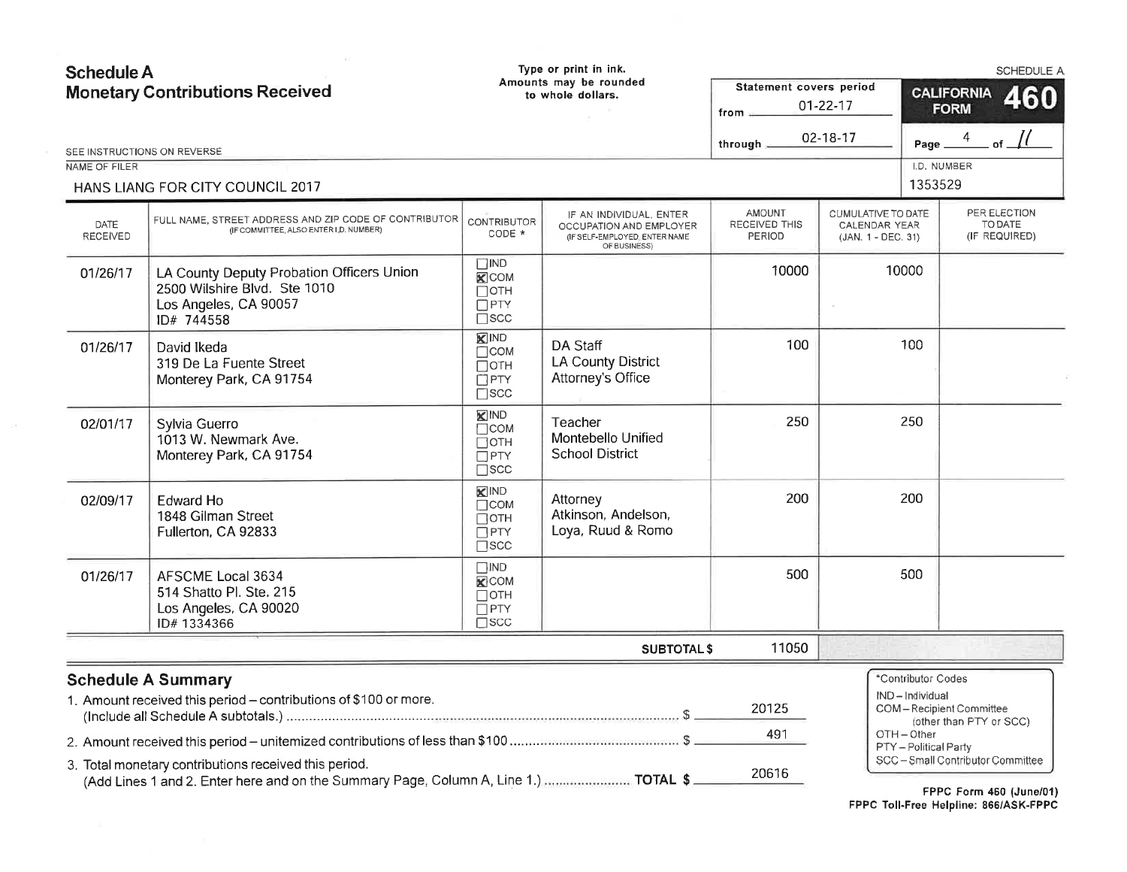| <b>Schedule A</b><br><b>Monetary Contributions Received</b> |                                                                                                                                               |                                                                             | Type or print in ink.<br>Amounts may be rounded<br>to whole dollars.                                | Statement covers period                  |                                                                  |                                    | SCHEDULE A<br><b>CALIFORNIA</b>                          |  |
|-------------------------------------------------------------|-----------------------------------------------------------------------------------------------------------------------------------------------|-----------------------------------------------------------------------------|-----------------------------------------------------------------------------------------------------|------------------------------------------|------------------------------------------------------------------|------------------------------------|----------------------------------------------------------|--|
|                                                             |                                                                                                                                               |                                                                             |                                                                                                     | from $\equiv$                            | $01 - 22 - 17$                                                   | 460<br><b>FORM</b>                 |                                                          |  |
|                                                             | SEE INSTRUCTIONS ON REVERSE                                                                                                                   |                                                                             |                                                                                                     | through                                  | 02-18-17                                                         | Page                               | of $\frac{1}{1}$<br>4                                    |  |
| NAME OF FILER                                               |                                                                                                                                               |                                                                             |                                                                                                     |                                          |                                                                  |                                    | I.D. NUMBER                                              |  |
|                                                             | HANS LIANG FOR CITY COUNCIL 2017                                                                                                              |                                                                             |                                                                                                     |                                          |                                                                  | 1353529                            |                                                          |  |
| DATE<br>RECEIVED                                            | FULL NAME, STREET ADDRESS AND ZIP CODE OF CONTRIBUTOR<br>(IF COMMITTEE, ALSO ENTER I D. NUMBER)                                               | <b>CONTRIBUTOR</b><br>CODE *                                                | IF AN INDIVIDUAL, ENTER<br>OCCUPATION AND EMPLOYER<br>(IF SELF-EMPLOYED, ENTER NAME<br>OF BUSINESS) | <b>AMOUNT</b><br>RECEIVED THIS<br>PERIOD | CUMULATIVE TO DATE<br><b>CALENDAR YEAR</b><br>(JAN. 1 - DEC. 31) |                                    | PER ELECTION<br>TO DATE<br>(IF REQUIRED)                 |  |
| 01/26/17                                                    | LA County Deputy Probation Officers Union<br>2500 Wilshire Blvd. Ste 1010<br>Los Angeles, CA 90057<br>ID# 744558                              | $\Box$ IND<br>$\mathbf{K}$ COM<br>$\Box$ OTH<br>$\Box$ PTY<br>$\square$ scc |                                                                                                     | 10000                                    |                                                                  | 10000                              |                                                          |  |
| 01/26/17                                                    | David Ikeda<br>319 De La Fuente Street<br>Monterey Park, CA 91754                                                                             | <b>X</b> IND<br>$\Box$ COM<br>$\Box$ OTH<br>$\Box$ PTY<br>$\Box$ scc        | DA Staff<br><b>LA County District</b><br>Attorney's Office                                          | 100                                      |                                                                  | 100                                |                                                          |  |
| 02/01/17                                                    | Sylvia Guerro<br>1013 W. Newmark Ave.<br>Monterey Park, CA 91754                                                                              | <b>X</b> IND<br>$\Box$ COM<br>Потн<br>$\Box$ PTY<br>$\square$ scc           | Teacher<br>Montebello Unified<br><b>School District</b>                                             | 250                                      |                                                                  | 250                                |                                                          |  |
| 02/09/17                                                    | <b>Edward Ho</b><br>1848 Gilman Street<br>Fullerton, CA 92833                                                                                 | KIND<br>$\Box$ COM<br>Потн<br>$\Box$ PTY<br>$\square$ scc                   | Attorney<br>Atkinson, Andelson,<br>Loya, Ruud & Romo                                                | 200                                      |                                                                  | 200                                |                                                          |  |
| 01/26/17                                                    | AFSCME Local 3634<br>514 Shatto Pl. Ste. 215<br>Los Angeles, CA 90020<br>ID#1334366                                                           | $\square$ IND<br>$\times$ COM<br>Потн<br>$\Box$ PTY<br>$\square$ SCC        |                                                                                                     | 500                                      |                                                                  | 500                                |                                                          |  |
|                                                             |                                                                                                                                               |                                                                             | <b>SUBTOTAL \$</b>                                                                                  | 11050                                    |                                                                  |                                    |                                                          |  |
|                                                             | <b>Schedule A Summary</b>                                                                                                                     |                                                                             |                                                                                                     |                                          |                                                                  | *Contributor Codes                 |                                                          |  |
|                                                             | 1. Amount received this period - contributions of \$100 or more.                                                                              |                                                                             |                                                                                                     | 20125                                    |                                                                  | IND-Individual                     | COM-Recipient Committee<br>(other than PTY or SCC)       |  |
|                                                             |                                                                                                                                               |                                                                             |                                                                                                     | 491                                      |                                                                  | OTH-Other<br>PTY - Political Party |                                                          |  |
|                                                             | 3. Total monetary contributions received this period.<br>(Add Lines 1 and 2. Enter here and on the Summary Page, Column A, Line 1.)  TOTAL \$ |                                                                             |                                                                                                     | 20616                                    |                                                                  |                                    | SCC-Small Contributor Committee<br>FRRA F.L. JAN (1 154) |  |

FPPC Form 460 (June/01)<br>FPPC Toll-Free Helpline: 866/ASK-FPPC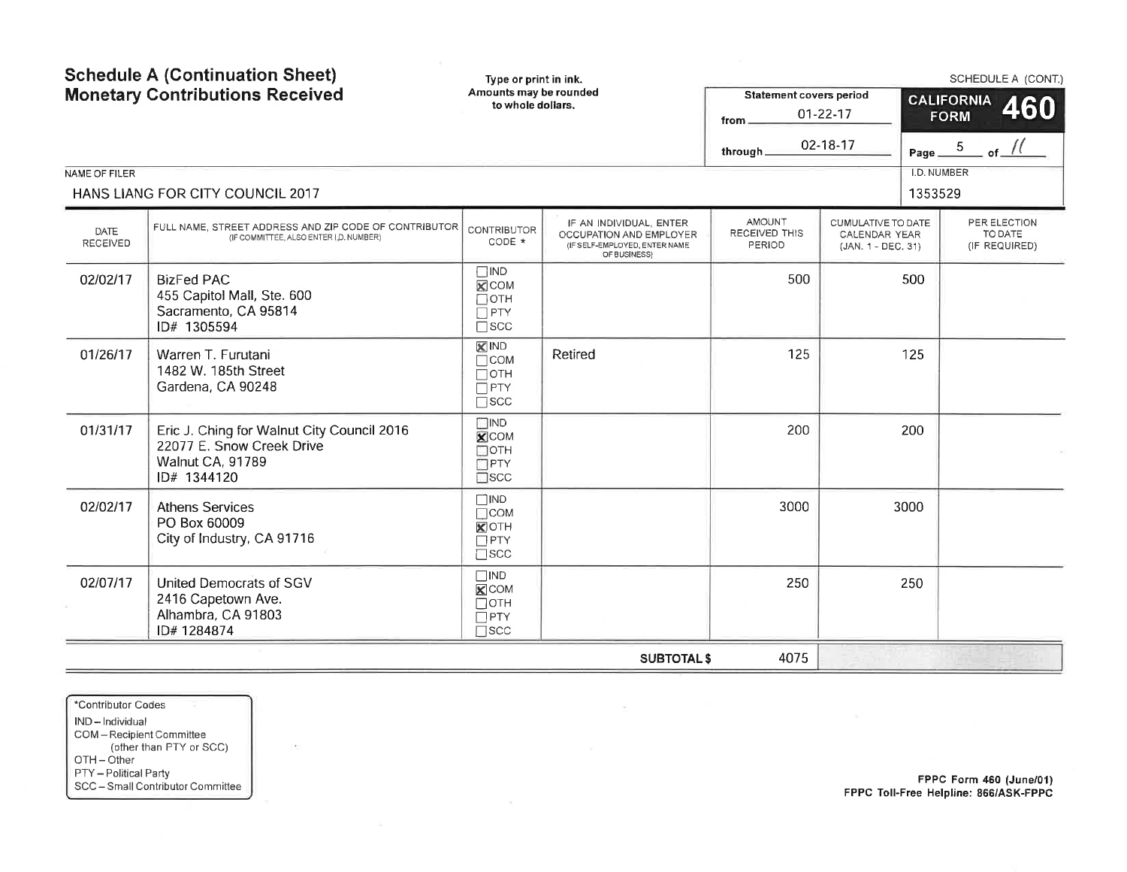| NAME OF FILER    | <b>Schedule A (Continuation Sheet)</b><br><b>Monetary Contributions Received</b><br>HANS LIANG FOR CITY COUNCIL 2017 | Type or print in ink.<br>Amounts may be rounded<br>to whole dollars.        |                                                                                                     | <b>Statement covers period</b><br>from<br>through: | $01 - 22 - 17$<br>02-18-17                                | Page $\equiv$<br>I.D. NUMBER<br>1353529 | SCHEDULE A (CONT.)<br><b>CALIFORNIA</b><br>460<br><b>FORM</b><br>of $\frac{1}{1}$<br>$\overline{5}$ |
|------------------|----------------------------------------------------------------------------------------------------------------------|-----------------------------------------------------------------------------|-----------------------------------------------------------------------------------------------------|----------------------------------------------------|-----------------------------------------------------------|-----------------------------------------|-----------------------------------------------------------------------------------------------------|
| DATE<br>RECEIVED | FULL NAME, STREET ADDRESS AND ZIP CODE OF CONTRIBUTOR<br>(IF COMMITTEE, ALSO ENTER I, D. NUMBER)                     | <b>CONTRIBUTOR</b><br>CODE *                                                | IF AN INDIVIDUAL, ENTER<br>OCCUPATION AND EMPLOYER<br>(IF SELF-EMPLOYED, ENTER NAME<br>OF BUSINESS) | <b>AMOUNT</b><br>RECEIVED THIS<br>PERIOD           | CUMULATIVE TO DATE<br>CALENDAR YEAR<br>(JAN. 1 - DEC. 31) |                                         | PER ELECTION<br>TO DATE<br>(IF REQUIRED)                                                            |
| 02/02/17         | <b>BizFed PAC</b><br>455 Capitol Mall, Ste. 600<br>Sacramento, CA 95814<br>ID# 1305594                               | $\Box$ IND<br>$\mathsf{R}$ COM<br>$\Box$ OTH<br>$\Box$ PTY<br>$\square$ SCC |                                                                                                     | 500                                                |                                                           | 500                                     |                                                                                                     |
| 01/26/17         | Warren T. Furutani<br>1482 W. 185th Street<br>Gardena, CA 90248                                                      | $R$ IND<br>$\Box$ COM<br>$\Box$ OTH<br>$\Box$ PTY<br>$\square$ SCC          | Retired                                                                                             | 125                                                |                                                           | 125                                     |                                                                                                     |
| 01/31/17         | Eric J. Ching for Walnut City Council 2016<br>22077 E. Snow Creek Drive<br>Walnut CA, 91789<br>ID# 1344120           | $\Box$ IND<br><b>X</b> COM<br>$\square$ OTH<br>$\Box$ PTY<br>$\square$ scc  |                                                                                                     | 200                                                |                                                           | 200                                     |                                                                                                     |
| 02/02/17         | <b>Athens Services</b><br>PO Box 60009<br>City of Industry, CA 91716                                                 | $\square$ IND<br>$\Box$ COM<br><b>X</b> OTH<br>$\Box$ PTY<br>$\square$ SCC  |                                                                                                     | 3000                                               |                                                           | 3000                                    |                                                                                                     |
| 02/07/17         | <b>United Democrats of SGV</b><br>2416 Capetown Ave.<br>Alhambra, CA 91803<br>ID#1284874                             | $\square$ IND<br>$X$ COM<br>Потн<br>$\Box$ PTY<br>$\Box$ scc                |                                                                                                     | 250                                                |                                                           | 250                                     |                                                                                                     |
|                  |                                                                                                                      |                                                                             | <b>SUBTOTAL \$</b>                                                                                  | 4075                                               |                                                           |                                         |                                                                                                     |

 $\sim 10^{-11}$ 

\*Contributor Codes IND - lndividual COM - Recipient Committee (other than PTY or SCC)  $OTH - O$ ther PTY - Political Party SCC - Small Contributor Committee

je)

FPPc Form 460 (June/01) FPPC Toll-Free Helpline: 866/A5K-FPPC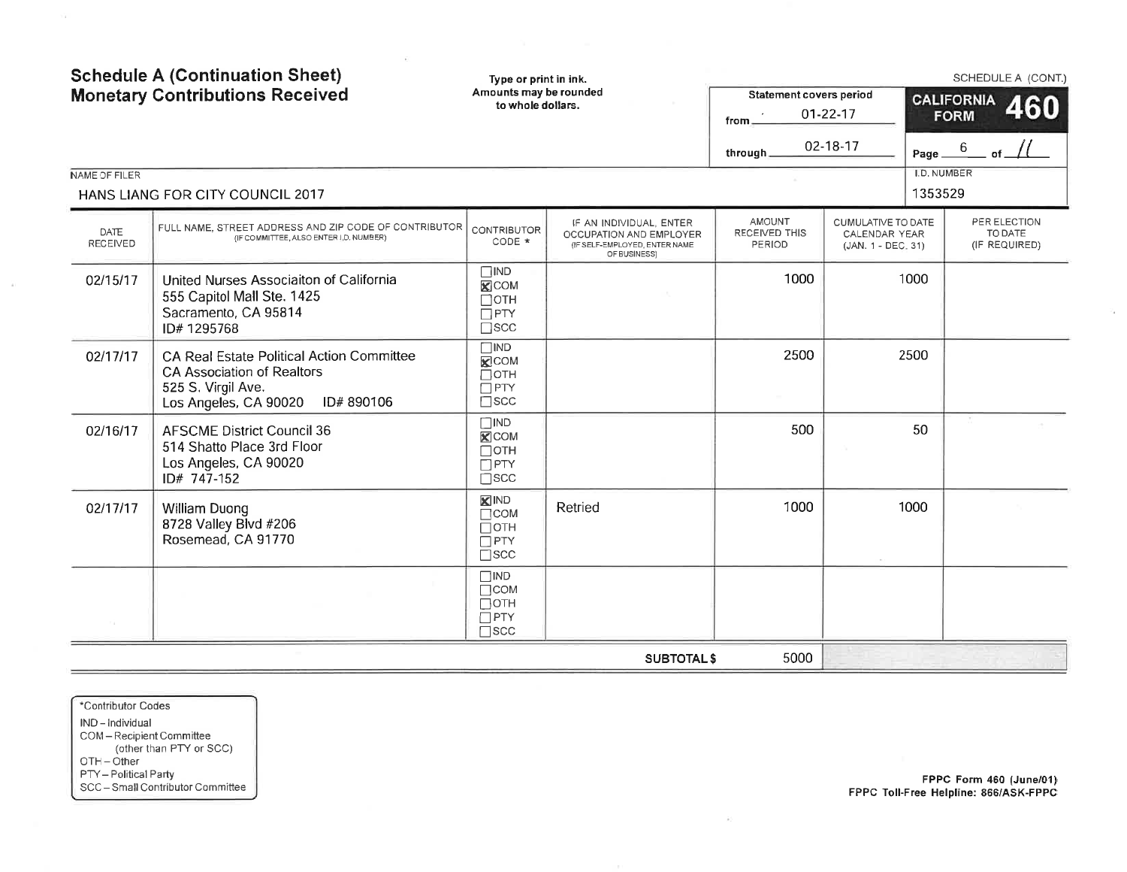| NAME OF FILER           | <b>Schedule A (Continuation Sheet)</b><br>Type or print in ink.<br>Amounts may be rounded<br><b>Monetary Contributions Received</b><br><b>Statement covers period</b><br>to whole dollars.<br>$01 - 22 - 17$<br>from $\overline{\phantom{a}}$<br>02-18-17<br>through_<br>HANS LIANG FOR CITY COUNCIL 2017 |                                                                         |                                                                                                     |                                          | Page $\_^6$<br><b>I.D. NUMBER</b><br>1353529                     | SCHEDULE A (CONT.)<br><b>CALIFORNIA</b><br>460<br><b>FORM</b> |                                          |
|-------------------------|-----------------------------------------------------------------------------------------------------------------------------------------------------------------------------------------------------------------------------------------------------------------------------------------------------------|-------------------------------------------------------------------------|-----------------------------------------------------------------------------------------------------|------------------------------------------|------------------------------------------------------------------|---------------------------------------------------------------|------------------------------------------|
| <b>DATE</b><br>RECEIVED | FULL NAME, STREET ADDRESS AND ZIP CODE OF CONTRIBUTOR<br>(IF COMMITTEE, ALSO ENTER I.D. NUMBER)                                                                                                                                                                                                           | <b>CONTRIBUTOR</b><br>CODE *                                            | IF AN INDIVIDUAL, ENTER<br>OCCUPATION AND EMPLOYER<br>(IF SELF-EMPLOYED, ENTER NAME<br>OF BUSINESS) | <b>AMOUNT</b><br>RECEIVED THIS<br>PERIOD | CUMULATIVE TO DATE<br><b>CALENDAR YEAR</b><br>(JAN. 1 - DEC. 31) |                                                               | PER ELECTION<br>TO DATE<br>(IF REQUIRED) |
| 02/15/17                | United Nurses Associaiton of California<br>555 Capitol Mall Ste. 1425<br>Sacramento, CA 95814<br>ID#1295768                                                                                                                                                                                               | $\Box$ IND<br>$X$ COM<br>$\Box$ OTH<br>$\Box$ PTY<br>$\square$ SCC      |                                                                                                     | 1000                                     |                                                                  | 1000                                                          |                                          |
| 02/17/17                | <b>CA Real Estate Political Action Committee</b><br><b>CA Association of Realtors</b><br>525 S. Virgil Ave.<br>Los Angeles, CA 90020<br>ID# 890106                                                                                                                                                        | $\Box$ IND<br>$X$ COM<br>$\Box$ OTH<br>$\Box$ PTY<br>$\square$ scc      |                                                                                                     | 2500                                     |                                                                  | 2500                                                          |                                          |
| 02/16/17                | <b>AFSCME District Council 36</b><br>514 Shatto Place 3rd Floor<br>Los Angeles, CA 90020<br>ID# 747-152                                                                                                                                                                                                   | $\Box$ IND<br>$\times$ COM<br>$\Box$ OTH<br>$\Box$ PTY<br>$\square$ scc |                                                                                                     | 500                                      |                                                                  | 50                                                            |                                          |
| 02/17/17                | <b>William Duong</b><br>8728 Valley Blvd #206<br>Rosemead, CA 91770                                                                                                                                                                                                                                       | <b>X</b> IND<br>$\Box$ COM<br>$\Box$ OTH<br>$\Box$ PTY<br>$\square$ scc | Retried                                                                                             | 1000                                     |                                                                  | 1000                                                          |                                          |
|                         |                                                                                                                                                                                                                                                                                                           | $\Box$ IND<br>$\Box$ COM<br>$\Box$ OTH<br>$\Box$ PTY<br>$\square$ scc   |                                                                                                     |                                          |                                                                  |                                                               |                                          |
|                         |                                                                                                                                                                                                                                                                                                           |                                                                         | <b>SUBTOTAL \$</b>                                                                                  | 5000                                     |                                                                  |                                                               |                                          |

 $\mathbb{R}$  . The contract of the contract of the contract of the contract of the contract of the contract of the contract of the contract of the contract of the contract of the contract of the contract of the contract of th

\*Contributor Codes IND-Individual COM - Recipient Committee<br>
(other than PTY or SCC)<br>
OTH - Other PTY - Political Party<br>SCC - Small Contributor Committee

 $\sim$ 

FPPC Form 460 (June/01)<br>FPPC Toll-Free Helpline: 866/ASK-FPPC

 $\hat{\pi}^{\pm}_i$ 

 $\mathcal{I}_4$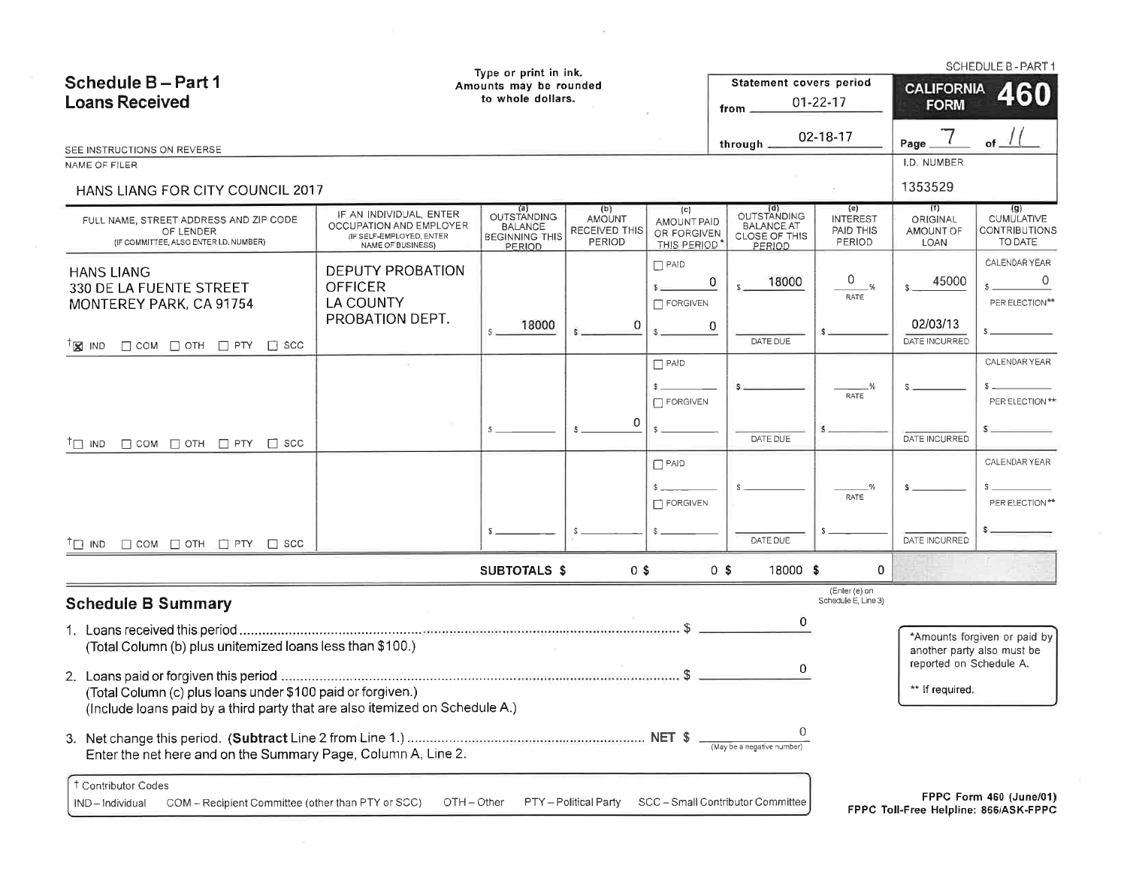| Type or print in ink.<br>Schedule B-Part 1<br>Amounts may be rounded                                                                       |                                                                                                     |                                                                         | Statement covers period                         |                                                                       | SCHEDULE B - PART 1<br><b>CALIFORNIA</b><br>460                    |                                               |                                             |                                                                  |
|--------------------------------------------------------------------------------------------------------------------------------------------|-----------------------------------------------------------------------------------------------------|-------------------------------------------------------------------------|-------------------------------------------------|-----------------------------------------------------------------------|--------------------------------------------------------------------|-----------------------------------------------|---------------------------------------------|------------------------------------------------------------------|
| <b>Loans Received</b>                                                                                                                      | to whole dollars.                                                                                   |                                                                         |                                                 | from $\equiv$                                                         | $01 - 22 - 17$                                                     | <b>FORM</b>                                   |                                             |                                                                  |
| SEE INSTRUCTIONS ON REVERSE                                                                                                                |                                                                                                     |                                                                         |                                                 |                                                                       | through $\equiv$                                                   | 02-18-17                                      | Page                                        |                                                                  |
| NAME OF FILER<br>HANS LIANG FOR CITY COUNCIL 2017                                                                                          |                                                                                                     |                                                                         |                                                 |                                                                       |                                                                    |                                               | I.D. NUMBER<br>1353529                      |                                                                  |
| FULL NAME, STREET ADDRESS AND ZIP CODE<br>OF LENDER<br>(IF COMMITTEE, ALSO ENTER I.D. NUMBER)                                              | IF AN INDIVIDUAL, ENTER<br>OCCUPATION AND EMPLOYER<br>(IF SELF-EMPLOYED, ENTER<br>NAME OF BUSINESS) | <b>OUTSTANDING</b><br><b>BALANCE</b><br><b>BEGINNING THIS</b><br>PERIOD | (b)<br><b>AMOUNT</b><br>RECEIVED THIS<br>PERIOD | $\left( c\right)$<br><b>AMOUNT PAID</b><br>OR FORGIVEN<br>THIS PERIOD | (d)<br>OUTSTANDING<br><b>BALANCE AT</b><br>CLOSE OF THIS<br>PERIOD | (e)<br><b>INTEREST</b><br>PAID THIS<br>PERIOD | (f)<br>ORIGINAL<br>AMOUNT OF<br><b>LOAN</b> | (g)<br><b>CUMULATIVE</b><br><b>CONTRIBUTIONS</b><br>TO DATE      |
| <b>HANS LIANG</b><br>330 DE LA FUENTE STREET<br>MONTEREY PARK, CA 91754                                                                    | <b>DEPUTY PROBATION</b><br><b>OFFICER</b><br><b>LA COUNTY</b><br>PROBATION DEPT.                    | 18000                                                                   | 0                                               | $\Box$ PAID<br>FORGIVEN                                               | 0<br>18000<br>$\overline{0}$                                       | 0<br>-%<br>RATE                               | 45000<br>$\mathbb{S}$ .<br>02/03/13         | CALENDAR YEAR<br>$\Omega$<br>PER ELECTION**                      |
| $\Box$ COM $\Box$ OTH $\Box$ PTY $\Box$ SCC<br>$T_{\mathbf{X}}$ IND                                                                        |                                                                                                     |                                                                         |                                                 |                                                                       | DATE DUE                                                           |                                               | DATE INCURRED                               |                                                                  |
| $\Box$ COM $\Box$ OTH $\Box$ PTY $\Box$ SCC<br>$T \cap IND$                                                                                |                                                                                                     |                                                                         | 0                                               | $P$ AID<br>$\Box$ FORGIVEN                                            | DATE DUE                                                           | RATE                                          | DATE INCURRED                               | CALENDAR YEAR<br>PER ELECTION **                                 |
|                                                                                                                                            |                                                                                                     |                                                                         |                                                 | $\Box$ PAID<br>$\Box$ FORGIVEN                                        | DATE DUE                                                           | -%<br><b>RATE</b>                             | <b>DATE INCURRED</b>                        | CALENDAR YEAR<br>PER ELECTION**                                  |
| $\Box$ COM $\Box$ OTH $\Box$ PTY $\Box$ SCC<br>$T \square$ IND                                                                             |                                                                                                     | <b>SUBTOTALS \$</b>                                                     | $0$ \$                                          |                                                                       | 18000 \$<br>0 <sup>5</sup>                                         | 0                                             |                                             |                                                                  |
| <b>Schedule B Summary</b>                                                                                                                  |                                                                                                     |                                                                         |                                                 |                                                                       | 0                                                                  | (Enter (e) on<br>Schedule E, Line 3)          |                                             |                                                                  |
| (Total Column (b) plus unitemized loans less than \$100.)                                                                                  |                                                                                                     |                                                                         |                                                 |                                                                       | 0                                                                  |                                               | reported on Schedule A.                     | *Amounts forgiven or paid by<br>another party also must be       |
| (Total Column (c) plus loans under \$100 paid or forgiven.)<br>(Include loans paid by a third party that are also itemized on Schedule A.) |                                                                                                     |                                                                         |                                                 |                                                                       |                                                                    |                                               | ** If required.                             |                                                                  |
| Enter the net here and on the Summary Page, Column A, Line 2.                                                                              |                                                                                                     |                                                                         |                                                 |                                                                       |                                                                    |                                               |                                             |                                                                  |
| <sup>†</sup> Contributor Codes<br>COM - Recipient Committee (other than PTY or SCC)<br>IND-Individual                                      | OTH-Other                                                                                           |                                                                         | PTY - Political Party                           |                                                                       | SCC - Small Contributor Committee                                  |                                               |                                             | FPPC Form 460 (June/01)<br>FPPC Toll-Free Helpline: 866/ASK-FPPC |

 $\alpha$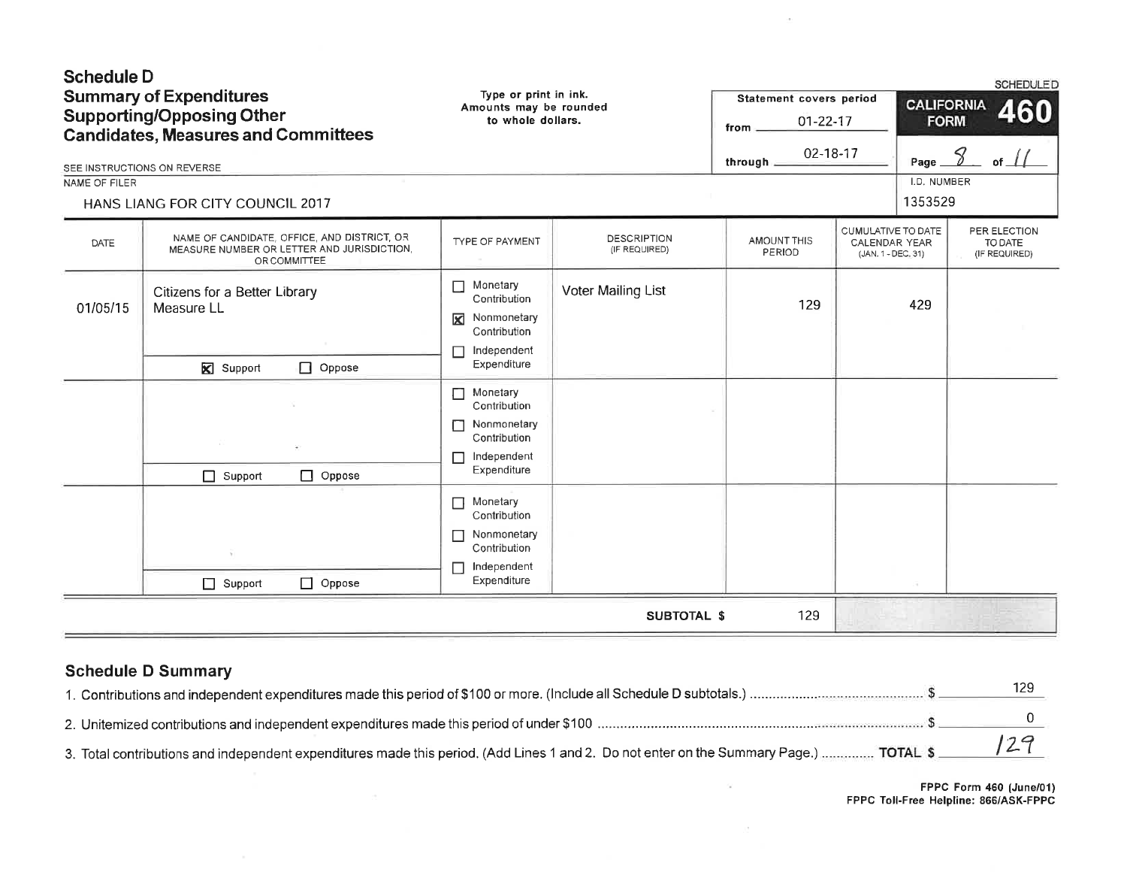| <b>Schedule D</b><br>NAME OF FILER | <b>Summary of Expenditures</b><br><b>Supporting/Opposing Other</b><br><b>Candidates, Measures and Committees</b><br>SEE INSTRUCTIONS ON REVERSE<br>HANS LIANG FOR CITY COUNCIL 2017 | Type or print in ink.<br>Amounts may be rounded<br>to whole dollars.                                 |                                     | Statement covers period<br>$01 - 22 - 17$<br>from<br>02-18-17<br>through. |                                                           | <b>CALIFORNIA</b><br>Page_<br>I.D. NUMBER<br>1353529 | <b>SCHEDULED</b><br>460<br><b>FORM</b><br>8<br>of $\perp$ |
|------------------------------------|-------------------------------------------------------------------------------------------------------------------------------------------------------------------------------------|------------------------------------------------------------------------------------------------------|-------------------------------------|---------------------------------------------------------------------------|-----------------------------------------------------------|------------------------------------------------------|-----------------------------------------------------------|
| DATE                               | NAME OF CANDIDATE, OFFICE, AND DISTRICT, OR<br>MEASURE NUMBER OR LETTER AND JURISDICTION,<br>OR COMMITTEE                                                                           | TYPE OF PAYMENT                                                                                      | <b>DESCRIPTION</b><br>(IF REQUIRED) | AMOUNT THIS<br>PERIOD                                                     | CUMULATIVE TO DATE<br>CALENDAR YEAR<br>(JAN. 1 - DEC. 31) |                                                      | PER ELECTION<br>TO DATE<br>(IF REQUIRED)                  |
| 01/05/15                           | Citizens for a Better Library<br>Measure LL<br><b>X</b> Support<br>$\Box$ Oppose                                                                                                    | Monetary<br>$\Box$<br>Contribution<br>Nonmonetary<br>⊠<br>Contribution<br>Independent<br>Expenditure | Voter Mailing List                  | 129                                                                       |                                                           | 429                                                  |                                                           |
|                                    | $\Box$ Oppose<br>Support                                                                                                                                                            | Monetary<br>Contribution<br>Nonmonetary<br>Contribution<br>Independent<br>Expenditure                |                                     |                                                                           |                                                           |                                                      |                                                           |
|                                    | $\Box$ Oppose<br>$\Box$ Support                                                                                                                                                     | Monetary<br>$\Box$<br>Contribution<br>Nonmonetary<br>Contribution<br>Independent<br>П<br>Expenditure |                                     |                                                                           |                                                           |                                                      |                                                           |
|                                    |                                                                                                                                                                                     |                                                                                                      | <b>SUBTOTAL \$</b>                  | 129                                                                       |                                                           |                                                      |                                                           |

 $\sim 10^{-10}$ 

# **Schedule D Summary**

|                                       | 129                    |
|---------------------------------------|------------------------|
|                                       |                        |
|                                       |                        |
| FPPC Toll-Free Helpline: 866/ASK-FPP( | FPPC Form 460 (June/01 |

 $\sim 12$ 

FPPC Form 460 (June/01)<br>FPPC Toll-Free Helpline: 866/ASK-FPPC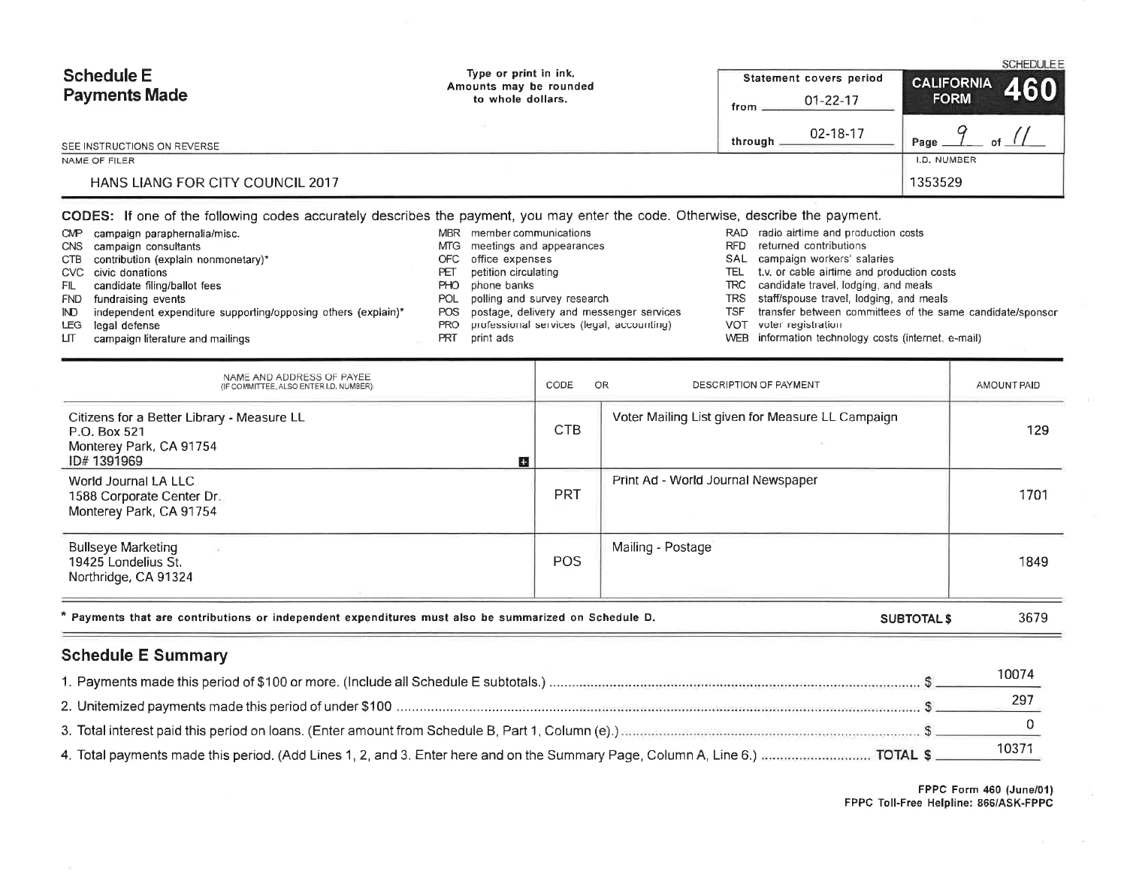| <b>Schedule E</b><br><b>Payments Made</b> | Type or print in ink.<br>Amounts may be rounded<br>to whole dollars. | Statement covers period | <b>SCHEDULEE</b><br><b>CALIFORNIA</b> |
|-------------------------------------------|----------------------------------------------------------------------|-------------------------|---------------------------------------|
|                                           |                                                                      | $01 - 22 - 17$<br>from  | 460<br><b>FORM</b>                    |
| SEE INSTRUCTIONS ON REVERSE               |                                                                      | 02-18-17<br>through     | Page<br>of                            |
| NAME OF FILER                             |                                                                      |                         | I.D. NUMBER                           |
| <b>HANS LIANG FOR CITY COUNCIL 2017</b>   |                                                                      |                         | 1353529                               |

#### CODES: If one of the following codes accurately describes the payment, you may enter the code. Otherwise, describe the payment.

- CMP campaign paraphernalia/misc. CNS campaign consultants CTB contribution (explain nonmonetary)\* CVC civic donations
	- candidate filing/ballot fees FIL
	- FND fundraising events
	-
	- independent expenditure supporting/opposing others (explain)\*  $\mathbb{N}$
	- legal defense LEG
	- campaign literature and mailings LIT.
- MBR member communications MTG meetings and appearances
- OFC office expenses
- petition circulating PET
- PHO phone banks
- POL polling and survey research
- POS postage, delivery and messenger services
- professional services (legal, accounting) **PRO**
- PRT print ads
- RAD radio airtime and production costs
- RFD returned contributions
- SAL campaign workers' salaries
- TEL t.v. or cable airtime and production costs
- TRC candidate travel, lodging, and meals
- TRS staff/spouse travel, lodging, and meals
- **TSF** transfer between committees of the same candidate/sponsor
- VOT voter registration
- WEB information technology costs (internet, e-mail)

| NAME AND ADDRESS OF PAYEE<br>(IF COMMITTEE, ALSO ENTER I.D. NUMBER)                                       | CODE       | OR<br>DESCRIPTION OF PAYMENT                     | AMOUNT PAID |
|-----------------------------------------------------------------------------------------------------------|------------|--------------------------------------------------|-------------|
| Citizens for a Better Library - Measure LL<br>P.O. Box 521<br>Monterey Park, CA 91754<br>ID#1391969<br>IJ | CTB        | Voter Mailing List given for Measure LL Campaign | 129         |
| World Journal LA LLC<br>1588 Corporate Center Dr.<br>Monterey Park, CA 91754                              | <b>PRT</b> | Print Ad - World Journal Newspaper               | 1701        |
| <b>Bullseye Marketing</b><br>19425 Londelius St.<br>Northridge, CA 91324                                  | <b>POS</b> | Mailing - Postage                                | 1849        |
| * Payments that are contributions or independent expenditures must also be summarized on Schedule D.      |            | <b>SUBTOTAL \$</b>                               | 3679        |

# **Schedule E Summary**

| 10074 |
|-------|
|       |
|       |
| 1037  |

FPPC Form 460 (June/01) FPPC Toll-Free Helpline: 866/ASK-FPPC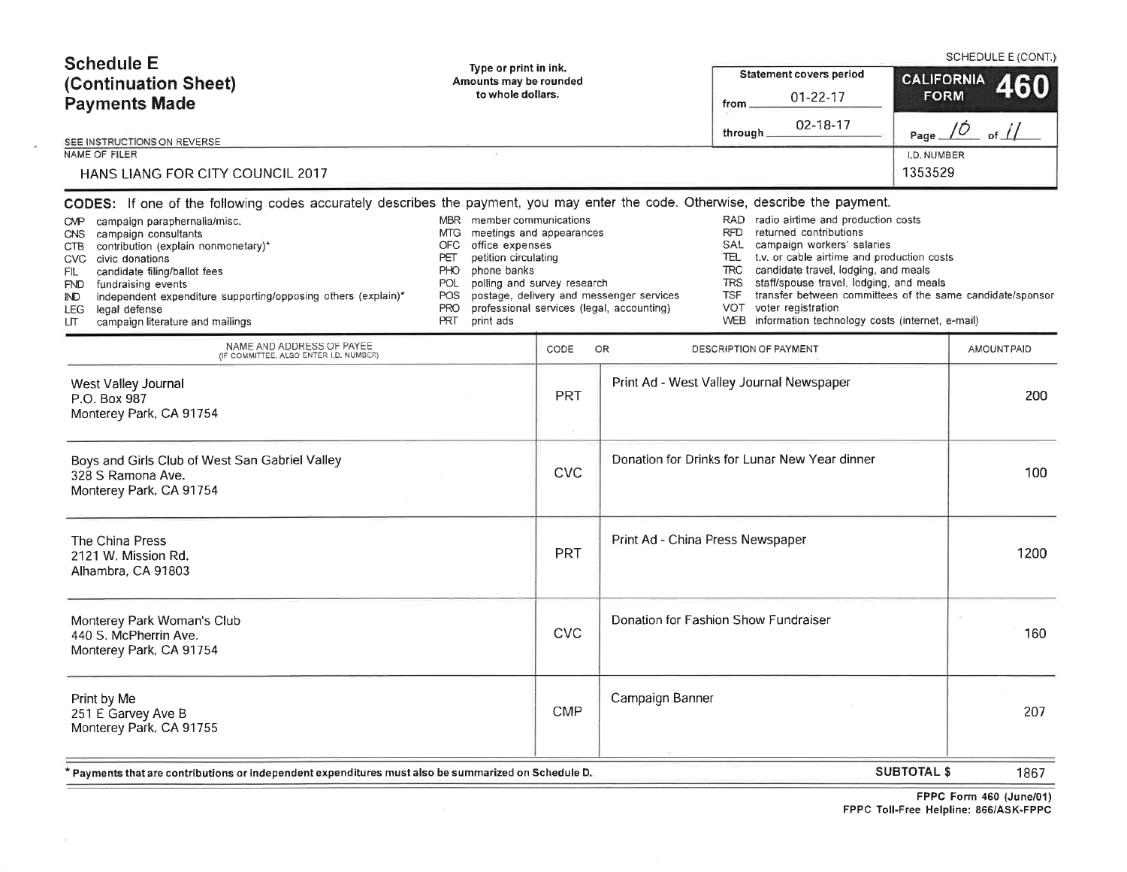| <b>Schedule E</b><br>(Continuation Sheet)<br><b>Payments Made</b>                                                                                                                                                                                                                                                                                                                                                                                                                                                    | Type or print in ink.<br>Amounts may be rounded<br>to whole dollars.                                                                                                                                                               |            |                                                                                       | <b>Statement covers period</b><br>01-22-17<br>from                                                                                                                                                                                                                                                                                                                                                                                                         |                              | SCHEDULE E (CONT.)<br>CALIFORNIA 460 |
|----------------------------------------------------------------------------------------------------------------------------------------------------------------------------------------------------------------------------------------------------------------------------------------------------------------------------------------------------------------------------------------------------------------------------------------------------------------------------------------------------------------------|------------------------------------------------------------------------------------------------------------------------------------------------------------------------------------------------------------------------------------|------------|---------------------------------------------------------------------------------------|------------------------------------------------------------------------------------------------------------------------------------------------------------------------------------------------------------------------------------------------------------------------------------------------------------------------------------------------------------------------------------------------------------------------------------------------------------|------------------------------|--------------------------------------|
| SEE INSTRUCTIONS ON REVERSE                                                                                                                                                                                                                                                                                                                                                                                                                                                                                          |                                                                                                                                                                                                                                    |            |                                                                                       | 02-18-17<br>through.                                                                                                                                                                                                                                                                                                                                                                                                                                       | Page $/ O$                   | of $\sqrt{1}$                        |
| NAME OF FILER<br>HANS LIANG FOR CITY COUNCIL 2017                                                                                                                                                                                                                                                                                                                                                                                                                                                                    |                                                                                                                                                                                                                                    |            |                                                                                       |                                                                                                                                                                                                                                                                                                                                                                                                                                                            | <b>LD. NUMBER</b><br>1353529 |                                      |
| CODES: If one of the following codes accurately describes the payment, you may enter the code. Otherwise, describe the payment.<br>campaign paraphernalia/misc.<br><b>CMP</b><br>campaign consultants<br><b>CNS</b><br>contribution (explain nonmonetary)*<br>CTB<br>civic donations<br><b>CVC</b><br>candidate filing/ballot fees<br>FIL.<br>fundraising events<br>FND.<br>independent expenditure supporting/opposing others (explain)*<br>IND.<br>legal defense<br>LEG.<br>campaign literature and mailings<br>LП | MBR member communications<br>meetings and appearances<br>MTG.<br>office expenses<br>OFC<br>petition circulating<br>PET<br>PHO<br>phone banks<br>polling and survey research<br>POL<br>POS<br><b>PRO</b><br><b>PRT</b><br>print ads |            | postage, delivery and messenger services<br>professional services (legal, accounting) | RAD radio airtime and production costs<br>returned contributions<br>RFD.<br>SAL<br>campaign workers' salaries<br>TEL<br>t.v. or cable airtime and production costs<br><b>TRC</b><br>candidate travel, lodging, and meals<br><b>TRS</b><br>staff/spouse travel, lodging, and meals<br>transfer between committees of the same candidate/sponsor<br><b>TSF</b><br>voter registration<br>VOT<br>information technology costs (internet, e-mail)<br><b>WEB</b> |                              |                                      |
| NAME AND ADDRESS OF PAYEE<br>(IF COMMITTEE, ALSO ENTER I.D. NUMBER)                                                                                                                                                                                                                                                                                                                                                                                                                                                  |                                                                                                                                                                                                                                    | CODE       | OR                                                                                    | DESCRIPTION OF PAYMENT                                                                                                                                                                                                                                                                                                                                                                                                                                     |                              | AMOUNT PAID                          |
| West Valley Journal<br>P.O. Box 987<br>Monterey Park, CA 91754                                                                                                                                                                                                                                                                                                                                                                                                                                                       |                                                                                                                                                                                                                                    | PRT<br>ù.  |                                                                                       | Print Ad - West Valley Journal Newspaper                                                                                                                                                                                                                                                                                                                                                                                                                   |                              | 200                                  |
| Boys and Girls Club of West San Gabriel Valley<br>328 S Ramona Ave.<br>Monterey Park, CA 91754                                                                                                                                                                                                                                                                                                                                                                                                                       |                                                                                                                                                                                                                                    | <b>CVC</b> |                                                                                       | Donation for Drinks for Lunar New Year dinner                                                                                                                                                                                                                                                                                                                                                                                                              |                              | 100                                  |
| The China Press<br>2121 W. Mission Rd.<br>Alhambra, CA 91803                                                                                                                                                                                                                                                                                                                                                                                                                                                         |                                                                                                                                                                                                                                    | <b>PRT</b> | Print Ad - China Press Newspaper                                                      |                                                                                                                                                                                                                                                                                                                                                                                                                                                            |                              | 1200                                 |
| Monterey Park Woman's Club<br>440 S. McPherrin Ave.<br>Monterey Park, CA 91754                                                                                                                                                                                                                                                                                                                                                                                                                                       |                                                                                                                                                                                                                                    | <b>CVC</b> |                                                                                       | Donation for Fashion Show Fundraiser                                                                                                                                                                                                                                                                                                                                                                                                                       |                              | 160                                  |
| Print by Me<br>251 E Garvey Ave B<br>Monterey Park, CA 91755                                                                                                                                                                                                                                                                                                                                                                                                                                                         |                                                                                                                                                                                                                                    | <b>CMP</b> | Campaign Banner                                                                       |                                                                                                                                                                                                                                                                                                                                                                                                                                                            |                              | 207                                  |
| * Payments that are contributions or independent expenditures must also be summarized on Schedule D.                                                                                                                                                                                                                                                                                                                                                                                                                 |                                                                                                                                                                                                                                    |            |                                                                                       |                                                                                                                                                                                                                                                                                                                                                                                                                                                            | <b>SUBTOTAL \$</b>           | 1867                                 |

 $\sim$ 

 $=$ 

=